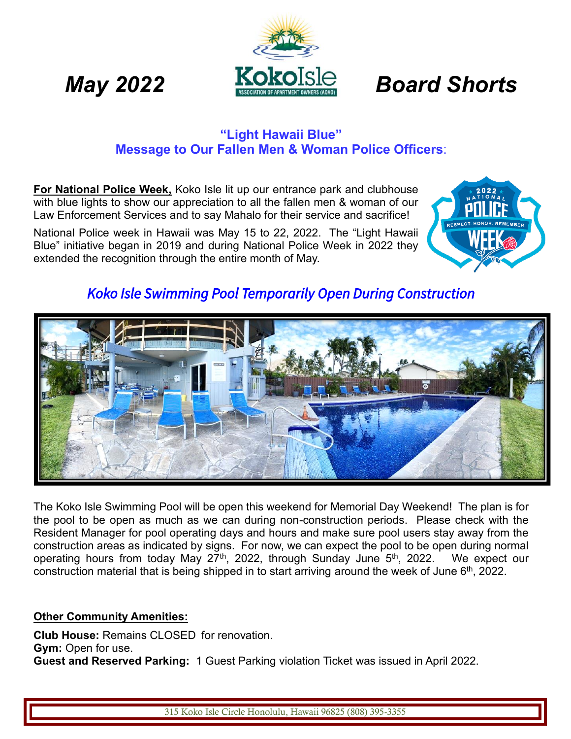# *May* 2022 **Board Shorts**

### **"Light Hawaii Blue" Message to Our Fallen Men & Woman Police Officers**:

**For National Police Week,** Koko Isle lit up our entrance park and clubhouse with blue lights to show our appreciation to all the fallen men & woman of our Law Enforcement Services and to say Mahalo for their service and sacrifice!

National Police week in Hawaii was May 15 to 22, 2022. The "Light Hawaii Blue" initiative began in 2019 and during National Police Week in 2022 they extended the recognition through the entire month of May.



# *Koko Isle Swimming Pool Temporarily Open During Construction*



The Koko Isle Swimming Pool will be open this weekend for Memorial Day Weekend! The plan is for the pool to be open as much as we can during non-construction periods. Please check with the Resident Manager for pool operating days and hours and make sure pool users stay away from the construction areas as indicated by signs. For now, we can expect the pool to be open during normal operating hours from today May 27<sup>th</sup>, 2022, through Sunday June 5<sup>th</sup>, 2022. We expect our construction material that is being shipped in to start arriving around the week of June  $6<sup>th</sup>$ , 2022.

#### **Other Community Amenities:**

**Club House:** Remains CLOSED for renovation. **Gym:** Open for use. **Guest and Reserved Parking:** 1 Guest Parking violation Ticket was issued in April 2022.

315 Koko Isle Circle Honolulu, Hawaii 96825 (808) 395-3355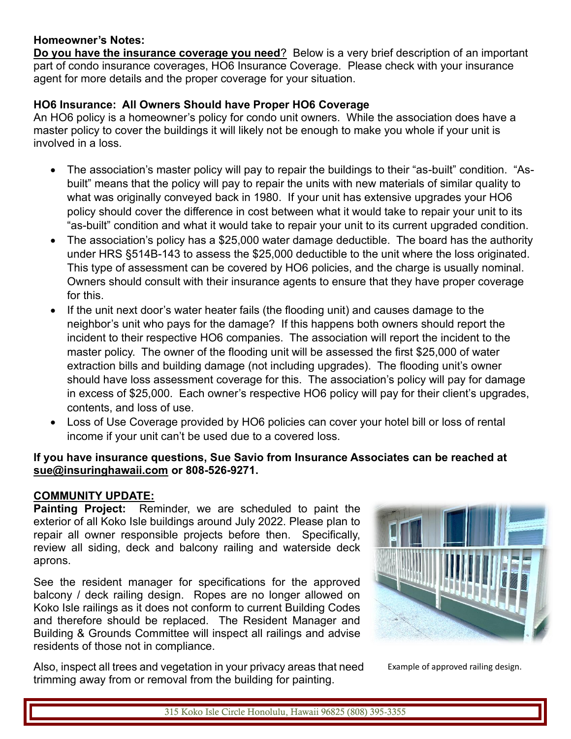#### **Homeowner's Notes:**

**Do you have the insurance coverage you need**? Below is a very brief description of an important part of condo insurance coverages, HO6 Insurance Coverage. Please check with your insurance agent for more details and the proper coverage for your situation.

#### **HO6 Insurance: All Owners Should have Proper HO6 Coverage**

An HO6 policy is a homeowner's policy for condo unit owners. While the association does have a master policy to cover the buildings it will likely not be enough to make you whole if your unit is involved in a loss.

- The association's master policy will pay to repair the buildings to their "as-built" condition. "Asbuilt" means that the policy will pay to repair the units with new materials of similar quality to what was originally conveyed back in 1980. If your unit has extensive upgrades your HO6 policy should cover the difference in cost between what it would take to repair your unit to its "as-built" condition and what it would take to repair your unit to its current upgraded condition.
- The association's policy has a \$25,000 water damage deductible. The board has the authority under HRS §514B-143 to assess the \$25,000 deductible to the unit where the loss originated. This type of assessment can be covered by HO6 policies, and the charge is usually nominal. Owners should consult with their insurance agents to ensure that they have proper coverage for this.
- If the unit next door's water heater fails (the flooding unit) and causes damage to the neighbor's unit who pays for the damage? If this happens both owners should report the incident to their respective HO6 companies. The association will report the incident to the master policy. The owner of the flooding unit will be assessed the first \$25,000 of water extraction bills and building damage (not including upgrades). The flooding unit's owner should have loss assessment coverage for this. The association's policy will pay for damage in excess of \$25,000. Each owner's respective HO6 policy will pay for their client's upgrades, contents, and loss of use.
- Loss of Use Coverage provided by HO6 policies can cover your hotel bill or loss of rental income if your unit can't be used due to a covered loss.

#### **If you have insurance questions, Sue Savio from Insurance Associates can be reached at [sue@insuringhawaii.com](mailto:sue@insuringhawaii.com) or 808-526-9271.**

#### **COMMUNITY UPDATE:**

**Painting Project:** Reminder, we are scheduled to paint the exterior of all Koko Isle buildings around July 2022. Please plan to repair all owner responsible projects before then. Specifically, review all siding, deck and balcony railing and waterside deck aprons.

See the resident manager for specifications for the approved balcony / deck railing design. Ropes are no longer allowed on Koko Isle railings as it does not conform to current Building Codes and therefore should be replaced. The Resident Manager and Building & Grounds Committee will inspect all railings and advise residents of those not in compliance.

Also, inspect all trees and vegetation in your privacy areas that need trimming away from or removal from the building for painting.



Example of approved railing design.

315 Koko Isle Circle Honolulu, Hawaii 96825 (808) 395-3355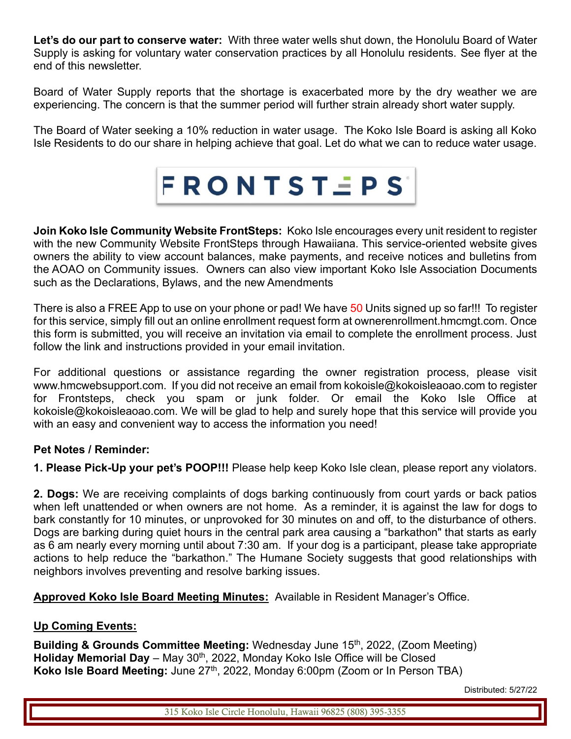**Let's do our part to conserve water:** With three water wells shut down, the Honolulu Board of Water Supply is asking for voluntary water conservation practices by all Honolulu residents. See flyer at the end of this newsletter.

Board of Water Supply reports that the shortage is exacerbated more by the dry weather we are experiencing. The concern is that the summer period will further strain already short water supply.

The Board of Water seeking a 10% reduction in water usage. The Koko Isle Board is asking all Koko Isle Residents to do our share in helping achieve that goal. Let do what we can to reduce water usage.



**Join Koko Isle Community Website FrontSteps:** Koko Isle encourages every unit resident to register with the new Community Website FrontSteps through Hawaiiana. This service-oriented website gives owners the ability to view account balances, make payments, and receive notices and bulletins from the AOAO on Community issues. Owners can also view important Koko Isle Association Documents such as the Declarations, Bylaws, and the new Amendments

There is also a FREE App to use on your phone or pad! We have 50 Units signed up so far!!! To register for this service, simply fill out an online enrollment request form at ownerenrollment.hmcmgt.com. Once this form is submitted, you will receive an invitation via email to complete the enrollment process. Just follow the link and instructions provided in your email invitation.

For additional questions or assistance regarding the owner registration process, please visit www.hmcwebsupport.com. If you did not receive an email from kokoisle@kokoisleaoao.com to register for Frontsteps, check you spam or junk folder. Or email the Koko Isle Office at kokoisle@kokoisleaoao.com. We will be glad to help and surely hope that this service will provide you with an easy and convenient way to access the information you need!

#### **Pet Notes / Reminder:**

**1. Please Pick-Up your pet's POOP!!!** Please help keep Koko Isle clean, please report any violators.

**2. Dogs:** We are receiving complaints of dogs barking continuously from court yards or back patios when left unattended or when owners are not home. As a reminder, it is against the law for dogs to bark constantly for 10 minutes, or unprovoked for 30 minutes on and off, to the disturbance of others. Dogs are barking during quiet hours in the central park area causing a "barkathon" that starts as early as 6 am nearly every morning until about 7:30 am. If your dog is a participant, please take appropriate actions to help reduce the "barkathon." The Humane Society suggests that good relationships with neighbors involves preventing and resolve barking issues.

**Approved Koko Isle Board Meeting Minutes:** Available in Resident Manager's Office.

#### **Up Coming Events:**

**Building & Grounds Committee Meeting:** Wednesday June 15<sup>th</sup>, 2022, (Zoom Meeting) Holiday Memorial Day – May 30<sup>th</sup>, 2022, Monday Koko Isle Office will be Closed Koko Isle Board Meeting: June 27<sup>th</sup>, 2022, Monday 6:00pm (Zoom or In Person TBA)

Distributed: 5/27/22